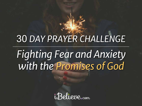# 30 *DAY PRAYER CHALLENGE*

# *Fighting Fear and Anxiety with the Promises of God*

*iBelieve.com*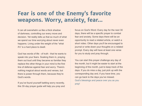### **Fear is one of the Enemy's favorite weapons. Worry, anxiety, fear…**

It can all overwhelm us like a thick shadow of darkness, controlling our every move and decision. Yet reality tells us that so much of what we spend our time worrying about never even happens. Living under the weight of the "what if's" is a hard place to dwell.

God has words of life - of truth – that he wants to speak into your fears. Soaking them in, praying them out loud until they became so familiar they replace the other things in your mind is the first line of defense against fear and worry. There's nothing magical about words and verses, but there is power through them, because they're God's words.

If you've found yourself battling worry recently, this 30-day prayer guide will help you pray and focus on God's Word. Every day for the next 30 days, there will be a specific prayer to combat fear and anxiety. Some days there will be an opportunity to read a related article, or watch a short video. Other days you'll be encouraged to journal or write down your thoughts on a related prompt. Every day will have at least one verse for you to study and pray through.

You can start this prayer challenge any day of the month, but it might be easier to start at the beginning of the month, just to keep track of the days. If you do miss a day, just pick up with the corresponding day and, if you have time, you can go back to the days you've missed. God's blessings and peace over you as you pray!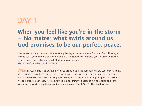### **When you feel like you're in the storm – No matter what swirls around us, God promises to be our perfect peace.**

He assures us He is constantly with us, strengthening and supporting us. Pray that God will help you to keep your eyes and focus on Him, not on the circumstances surrounding you. Ask Him to help you grown in your trust, believing He is faithful to see us through.

[Mark 4:39-40](http://www.biblestudytools.com/mark/passage/?q=mark+4:39-40), [Isaiah 41:10](http://www.biblestudytools.com/isaiah/41-10.html), [John 16:33](http://www.biblestudytools.com/john/16-33.html)

Write: In your journal, think of the top 5 or so things in your life right now that are causing you worry, fear, or anxiety. Give those things over to God now in prayer. Ask him to relieve your fears and help you remember His truth. Invite the Holy Spirit to begin to calm your soul by replacing the fear with the words of truth you just read. Write down the promises from the passages in Mark, Isaiah and John. When fear begins to creep in, re-read these promises and thank God for His steadfast love.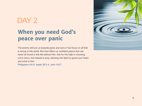### DAY<sub>2</sub>

### **When you need God's peace over panic**

The enemy will lure us towards panic and worry if we focus on all that is wrong in this world. But God offers us confident peace that can never be found in this life without Him. Ask for His help in choosing not to worry, but instead to pray, allowing His Spirit to guard your heart and mind in Him.

[Philippians 4:6-9,](http://www.biblestudytools.com/philippians/passage/?q=philippians+4:6-9) [Isaiah 26:3-4](http://www.biblestudytools.com/isaiah/passage/?q=isaiah+26:3-4), [John 14:27](http://www.biblestudytools.com/john/14-27.html)

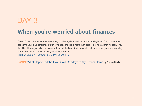### **When you're worried about finances**

Often it's hard to trust God when money problems, debt, and loss mount up high. Yet God knows what concerns us, He understands our every need, and He is more than able to provide all that we lack. Pray that He will give you wisdom in every financial decision, that He would help you to be generous in giving, and to trust Him in providing for your family's needs. [Matthew 6:25-27,](http://www.biblestudytools.com/matthew/passage/?q=matthew+6:25-27) [Hebrews 13:5-6](http://www.biblestudytools.com/hebrews/passage/?q=hebrews+13:5-6), [Philippians 4:19](http://www.biblestudytools.com/philippians/4-19.html)

Read: [What Happened the Day I Said Goodbye to My Dream Home](http://www.ibelieve.com/food-home/what-happened-the-day-i-said-goodbye-to-my-dream-home.html) by Renée Davis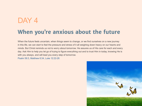## **When you're anxious about the future** DAY 4

When the future feels uncertain, when things seem to change, or we find ourselves on a new journey in this life, we can start to feel the pressure and stress of it all weighing down heavy on our hearts and minds. But Christ reminds us not to worry about tomorrow. He assures us of His care for each and every day. Ask Him to help you let go of trying to figure everything out and to trust Him in today, knowing He is with you always, and will lead you every step of tomorrow.

[Psalm 56:3,](http://www.biblestudytools.com/psalms/56-3.html) [Matthew 6:34,](http://www.biblestudytools.com/matthew/6-34.html) [Luke 12:22-26](http://www.biblestudytools.com/luke/passage/?q=luke+12:22-26)

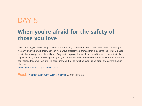### **When you're afraid for the safety of those you love**

One of the biggest fears many battle is that something bad will happen to their loved ones. Yet reality is, we can't always be with them, nor can we always protect them from all that may come their way. But God is with them always, and He is Mighty. Pray that His protection would surround those you love, that His angels would guard their coming and going, and He would keep them safe from harm. Thank Him that we can release those we love into His care, knowing that He watches over His children, and covers them in His care.

[Psalm 34:7](http://www.biblestudytools.com/psalms/34-7.html), [Psalm 121:3-8,](http://www.biblestudytools.com/psalms/passage/?q=psalm+121:3-8) [Psalm 91:11](http://www.biblestudytools.com/psalms/91-11.html)

Read: [Trusting God with Our Children](http://www.ibelieve.com/motherhood/trusting-god-with-our-children.html) by Kate Motaung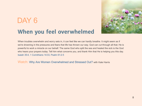## **When you feel overwhelmed** DAY<sub>6</sub>



When troubles overwhelm and worry sets in, it can feel like we can hardly breathe. It might seem as if we're drowning in the pressures and fears that life has thrown our way. God can cut through all that; He is powerful to work a miracle on our behalf. The same God who split the sea and healed the sick is the God who hears your prayers today. Tell him what concerns you, and thank Him that He is helping you this day. [Isaiah 35:4](http://www.biblestudytools.com/isaiah/35-4.html), [1 Corinthians 14:33](http://www.biblestudytools.com/1-corinthians/14-33.html), [Psalm 61:2-5](http://www.biblestudytools.com/psalms/passage/?q=psalm+61:2-5)

Watch: [Why Are Women Overwhelmed and Stressed Out?](http://www.godtube.com/watch/?v=0E99C1NU) with Kate Harris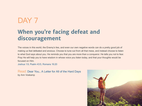## DAY<sub>7</sub>

### **When you're facing defeat and discouragement**

The voices in this world, the Enemy's lies, and even our own negative words can do a pretty good job of making us feel defeated and anxious. Choose to tune out from all that mess, and instead choose to listen to what God says about you. He reminds you that you are more than a conqueror. He tells you not to fear. Pray He will help you to have wisdom in whose voice you listen today, and that your thoughts would be focused on Him.

[Joshua 1:9,](http://www.biblestudytools.com/joshua/1-9.html) [Psalm 43:5,](http://www.biblestudytools.com/psalms/43-5.html) [Romans 16:20](http://www.biblestudytools.com/romans/16-20.html)

Read: [Dear You… A Letter for All of the Hard Days](http://www.aholyexperience.com/2014/09/dear-you-a-letter-for-all-of-the-hard-days/) by Ann Voskamp

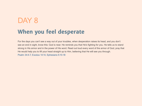## **When you feel desperate**  DAY 8

For the days you can't see a way out of your troubles, when desperation raises its head, and you don't see an end in sight, know this: God is near. He reminds you that He's fighting for you. He tells us to stand strong in His armor and in the power of His word. Read out loud every word of the armor of God, pray that He would help you to lift your head straight up to Him, believing that He will see you through. [Psalm 34:4-7,](http://www.biblestudytools.com/psalms/passage/?q=psalm+34:4-7) [Exodus 14:14,](http://www.biblestudytools.com/exodus/14-14.html) [Ephesians 6:10-18](http://www.biblestudytools.com/ephesians/passage/?q=ephesians+6:10-18)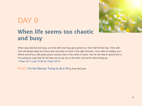

### **When life seems too chaotic and busy**

When days feel full and busy, our time with God may get pushed out. Don't fall for that trap. Time with God will always keep our focus clear and help us move in the right direction. He is able to multiply your efforts and fill you with great peace and joy even in the midst of chaos. Ask for His help to spend time in His presence, pray that He will help you to say yes to the best, and let the other things go. [1 Peter 5:6-7,](http://www.biblestudytools.com/1-peter/passage/?q=1-peter+5:6-7) [Luke 10:38-42,](http://www.biblestudytools.com/luke/passage/?q=luke+10:38-42) [Psalm 46:10](http://www.biblestudytools.com/psalms/46-10.html)

Read: For the Woman Trying to do it All by Katy McCown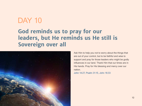### **God reminds us to pray for our leaders, but He reminds us He still is Sovereign over all**



Ask Him to help you not to worry about the things that are out of your control, but to be faithful and wise to support and pray for those leaders who might be godly influences in our land. Thank Him that our times are in His hands. Pray for His blessing and mercy over our nation.

[John 14:27](http://www.biblestudytools.com/john/14-27.html), [Psalm 31:15,](http://www.biblestudytools.com/psalms/31-15.html) [John 16:33](http://www.biblestudytools.com/john/16-33.html)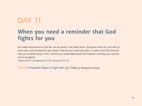### **When you need a reminder that God fights for you**

No matter what we face in this life, we are never in the battle alone. God goes before us, He's with us every step, and He leads the way ahead. Pray that you would stay alert in a dark world, that God will help you to stand strong in Him, and that you would daily sense His Presence covering you in all that you're up against.

[Joshua 23:10,](http://www.biblestudytools.com/joshua/23-10.html) [Deuteronomy 3:22](http://www.biblestudytools.com/deuteronomy/3-22.html), [Romans 8:31-32](http://www.biblestudytools.com/romans/passage/?q=romans+8:31-32)

Read: [4 Powerful Ways to Fight with Joy Today](http://margaretfeinberg.com/4-powerful-ways-fight-joy-today/) by Margaret Feinberg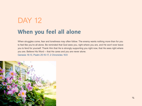#### **When you feel all alone**

When struggles come, fear and loneliness may often follow. The enemy wants nothing more than for you to feel like you're all alone. Be reminded that God sees you, right where you are, and He won't ever leave you to fend for yourself. Thank Him that He is strongly supporting you right now, that He sees right where you are. Believe His Word -- that He cares and you are never alone. [Genesis 16:13](http://www.biblestudytools.com/genesis/16-13.html), [Psalm 25:16-17](http://www.biblestudytools.com/psalms/passage/?q=psalm+25:16-17), [2 Chronicles 16:9](http://www.biblestudytools.com/2-chronicles/16-9.html)

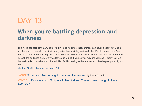### **When you're battling depression and darkness**

This world can feel dark many days. And in troubling times, that darkness can hover closely. Yet God is still there. And He reminds us that He's greater than anything we face in this life. His power is the One who can set us free from the pit we sometimes sink down into. Pray for God's miraculous power to break through the darkness and cover you, lift you up, out of the place you may find yourself in today. Believe that nothing is impossible with Him, ask Him for His healing and grace to touch the deepest parts of your life.

[Matthew 19:26,](http://www.biblestudytools.com/matthew/19-26.html) [2 Timothy 1:7](http://www.biblestudytools.com/2-timothy/1-7.html), [1 John 4:4](http://www.biblestudytools.com/1-john/4-4.html)

Read: [9 Steps to Overcoming Anxiety and Depression](http://www.ibelieve.com/health-beauty/9-steps-to-overcome-anxiety-and-depression.html) by Laurie Coombs Watch: [3 Promises from Scripture to Remind You You're Brave Enough to Face](http://www.godtube.com/watch/?v=YLLK7WNX)  [Each Day](http://www.godtube.com/watch/?v=YLLK7WNX)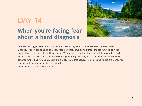## **When you're facing fear about a hard diagnosis** DAY 14



Some of the biggest life blows come in the form of a diagnosis. Cancer. Disease. Chronic illness. Disability. Pain. It can send us spiraling. Yet nothing takes God by surprise, and He reminds us in the midst of bad news, we still don't have to fear. We can trust Him. Pray that God will flood your heart with the assurance that He holds you and will carry you through the toughest times in this life. Thank Him in advance for His healing and strength. Believe His Word that assures you He is near to the brokenhearted and saves those whose spirits are crushed.

[Psalm 34:17-20,](http://www.biblestudytools.com/psalms/passage/?q=psalm+34:17-20) [Psalm 23:4,](http://www.biblestudytools.com/psalms/23-4.html) [Psalm 112:7](http://www.biblestudytools.com/psalms/112-7.html)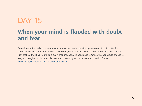### **When your mind is flooded with doubt and fear**

Sometimes in the midst of pressures and stress, our minds can start spinning out of control. We find ourselves creating problems that don't even exist, doubt and worry can overwhelm us and take control. Pray that God will help you to take every thought captive in obedience to Christ, that you would choose to set your thoughts on Him, that His peace and rest will guard your heart and mind in Christ. [Psalm 62:5,](http://www.biblestudytools.com/psalms/62-5.html) [Philippians 4:8](http://www.biblestudytools.com/philippians/4-8.html), [2 Corinthians 10:4-5](http://www.biblestudytools.com/2-corinthians/passage/?q=2-corinthians+10:4-5)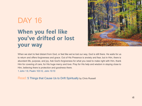## **When you feel like you've drifted or lost your way** DAY 16



When we start to feel distant from God, or feel like we've lost our way, God is still there. He waits for us to return and offers forgiveness and grace. Out of His Presence is anxiety and fear, but in Him, there is abundant life, purpose, and joy. Ask God's forgiveness for what you need to make right with Him, thank Him for covering of care, for His huge mercy and love. Pray for His help and wisdom in staying close to Him, believing there is protection and goodness there.

[1 John 1:9,](http://www.biblestudytools.com/1-john/1-9.html) [Psalm 103:12,](http://www.biblestudytools.com/psalms/103-12.html) [John 10:10](http://www.biblestudytools.com/john/10-10.html)

Read: [5 Things that Cause Us to Drift Spiritually](http://www.ibelieve.com/faith/5-things-that-cause-us-to-drift-spiritually.html) by Chris Russell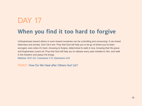## **When you find it too hard to forgive** DAY 17

Unforgiveness toward others or even toward ourselves can be controlling and consuming. It can breed bitterness and anxiety. Don't let it win. Pray that God will help you to let go of where you've been wronged, even when it's hard, choosing to forgive, determined to walk in love, knowing that His grace and forgiveness covers all. Pray that God will help you to release every past mistake to Him, and walk in the freedom and peace He brings.

[Matthew 18:21-22](http://www.biblestudytools.com/matthew/passage/?q=matthew+18:21-22), [Colossians 3:13,](http://www.biblestudytools.com/colossians/3-13.html) [Ephesians 4:32](http://www.biblestudytools.com/ephesians/4-32.html)

Watch: [How Do We Heal after Others Hurt Us?](http://www.godtube.com/watch/?v=WYGY6LNX)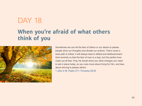#### **When you're afraid of what others think of you**



Sometimes we can let the fear of others or our desire to please people drive our thoughts and dictate our actions. That's never a wise path to follow, it will always lead to defeat and disillusionment. God reminds us that the fear of man is a trap, but His perfect love casts out all fear. Pray He would show you what changes you need to set in place today, so you care more about living for Him, and less about striving to please others.

[1 John 4:18,](http://www.biblestudytools.com/1-john/4-18.html) [Psalm 27:1,](http://www.biblestudytools.com/psalms/27-1.html) [Proverbs 29:25](http://www.biblestudytools.com/proverbs/29-25.html)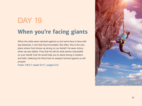## **When you're facing giants**  DAY 19

When the odds seem stacked against us and we're face to face with big obstacles, it can feel insurmountable. But often, this is the very place where God shows up strong on our behalf. He sees victory, when we see defeat. Pray that He will do what seems impossible on your behalf, that He would help you to stand strong in wisdom and faith, believing His Word that no weapon formed against us will prosper.

[Psalm 118:6-7](http://www.biblestudytools.com/psalms/passage/?q=psalm+118:6-7), [Isaiah 54:17](http://www.biblestudytools.com/isaiah/54-17.html), [Judges 6:12](http://www.biblestudytools.com/judges/6-12.html)

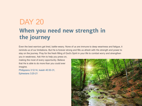## **When you need new strength in the journey** DAY 20

Even the best warriors get tired, battle-weary. None of us are immune to deep weariness and fatigue, it reminds us of our limitations. But He is forever strong and fills us afresh with His strength and power to stay on the journey. Pray for the fresh filling of God's Spirit in your life to combat worry and strengthen you in weakness. Ask Him to help you press on,

making the most of every opportunity. Believe that He is able to do more than you could ever imagine.

[Philippians 3:12-14](http://www.biblestudytools.com/philippians/passage/?q=philippians+3:12-14), [Isaiah 40:30-31](http://www.biblestudytools.com/isaiah/passage/?q=isaiah+40:30-31), [Ephesians 3:20-21](http://www.biblestudytools.com/ephesians/passage/?q=ephesians+3:20-21)

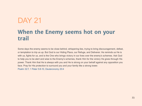### **When the Enemy seems hot on your trail**

Some days the enemy seems to be close behind, whispering lies, trying to bring discouragement, defeat, or temptation to trip us up. But God is our Hiding Place, our Refuge, and Deliverer. He reminds us He is with us, fights for us, and is the One who brings victory in our lives over the enemy's schemes. Ask God to help you to be alert and wise to the Enemy's schemes, thank Him for the victory He gives through His power. Thank Him that He is always with you and He is strong on your behalf against any opposition you face. Pray for His protection to surround you and your family like a strong tower. [Psalm 32:7,](http://www.biblestudytools.com/psalms/32-7.html) [1 Peter 5:8-10](http://www.biblestudytools.com/1-peter/passage/?q=1-peter+5:8-10), [Deuteronomy 20:4](http://www.biblestudytools.com/deuteronomy/20-4.html)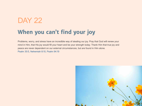### **When you can't find your joy**

Problems, worry, and stress have an incredible way of stealing our joy. Pray that God will renew your mind in Him, that His joy would fill your heart and be your strength today. Thank Him that true joy and peace are never dependent on our external circumstances, but are found in Him alone. [Psalm 30:5,](http://www.biblestudytools.com/psalms/30-5.html) [Nehemiah 8:10,](http://www.biblestudytools.com/nehemiah/8-10.html) [Psalm 94:19](http://www.biblestudytools.com/psalms/94-19.html)

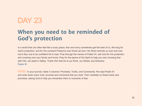### **When you need to be reminded of God's protection**

In a world that can often feel like a scary place, fear and worry sometimes get the best of us. We long for God's protection, and for His constant Presence over those we love. His Word reminds us over and over not to fear, but to be confident He is near. Pray through the verses of Psalm 91, ask God for His protection and covering over your family and home. Pray for the peace of His Spirit to help you rest, knowing that with Him, we dwell in Safety. Thank Him that He is our Rock, our Shield, and Deliverer. [Psalm 91](http://www.biblestudytools.com/psalms/91.html)

Write: In your journal, make 3 columns: Promises, Truths, and Commands. Re-read Psalm 91 and write down every truth, promise and command that you read. Then meditate on these truths and promises, asking God to help you remember them in moments of fear.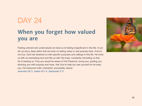### **When you forget how valued you are**

Feeling unloved and undervalued can lead us to feeling insignificant in this life. It can stir up worry deep within that we have no lasting value or real purpose here. And it's not true. God has destined us with specific purposes and callings in this life. He loves us with an everlasting love and fills us with His hope, constantly reminding us that He is leading us. Pray you would be aware of His Presence, loving you, guiding you, directing you with purpose and hope. Ask God to help you see yourself as He sees you, His treasured child, cherished, and greatly valued. [Jeremiah 29:11,](http://www.biblestudytools.com/jeremiah/29-11.html) [Isaiah 43:1-4,](http://www.biblestudytools.com/isaiah/passage/?q=isaiah+43:1-4) [Zephaniah 3:17](http://www.biblestudytools.com/zephaniah/3-17.html)

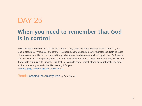### **When you need to remember that God is in control**

No matter what we face, God hasn't lost control. It may seem like life is too chaotic and uncertain, but God is steadfast, immovable, and strong. He doesn't change based on our circumstances. Nothing takes Him unaware. And He can turn around for good whatever hard times we walk through in this life. Pray that God will work out all things for good in your life, that whatever trial has caused worry and fear, He will turn it around to bring glory to Himself. Trust that He is able to show Himself strong on your behalf. Lay down all that concerns you, and allow Him to carry it for you. [Romans 8:28,](http://www.biblestudytools.com/romans/8-28.html) [Matthew 28:20b](http://www.biblestudytools.com/matthew/28-20.html), [Psalm 46:1-2](http://www.biblestudytools.com/psalms/passage/?q=psalm+46:1-2)

Read: [Escaping the Anxiety Trap](http://proverbs31.org/devotions/devo/escaping-the-anxiety-trap/) by Amy Carroll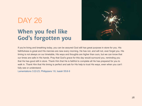### **When you feel like God's forgotten you**



If you're living and breathing today, you can be assured God still has great purpose in store for you. His faithfulness is great and His mercies are new every morning. He has not, and will not, ever forget you. His timing is not always on our timetable, His ways and thoughts are higher than ours, but we can know that our times are safe in His hands. Pray that God's grace for this day would surround you, reminding you that He has good still in store. Thank Him that He is faithful to complete all He has prepared for you to walk in. Thank Him that His timing is perfect and ask for His help to trust His ways, even when you can't fully see or understand.

[Lamentations 3:22-23,](http://www.biblestudytools.com/lamentations/passage/?q=lamentations+3:22-23) [Philippians 1:6](http://www.biblestudytools.com/philippians/1-6.html), [Isaiah 55:8-9](http://www.biblestudytools.com/isaiah/passage/?q=isaiah+55:8-9)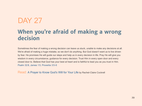### **When you're afraid of making a wrong decision**

Sometimes the fear of making a wrong decision can leave us stuck, unable to make any decisions at all. We're afraid of making a huge mistake, so we don't do anything. But God doesn't want us to live driven by fear. He promises He will guide our steps and help us in every decision in life. Pray He will give you wisdom in every circumstance, guidance for every decision. Trust Him in every open door and every closed door to. Believe that God has your best at heart and is faithful to lead you as you trust in Him. [Psalm 32:8,](http://www.biblestudytools.com/psalms/32-8.html) [James 1:5,](http://www.biblestudytools.com/james/1-5.html) [Proverbs 3:5-6](http://www.biblestudytools.com/proverbs/passage/?q=proverbs+3:5-6)

Read: [A Prayer to Know God's Will for Your Life](http://www.ibelieve.com/devotionals/your-daily-prayer/a-prayer-to-know-god-s-will-for-your-life-your-daily-prayer-july-6-2016.html) by Rachel-Claire Cockrell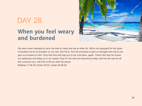### **When you feel weary and burdened**



We were never intended to carry the load of cares that we so often do. We're not equipped for the types of burdens we try to shoulder on our own. But He is. And He promises to give us strength and rest as we give our burdens to Him. Pray that God will help you to lay it all down, again. Thank Him that He knows our weakness and helps us in our needs. Pray for His rest and assurance today, that He will care for all that concerns you. Ask Him to fill you with His peace. [Matthew 11:28-30,](http://www.biblestudytools.com/matthew/passage/?q=matthew+11:28-30) [Psalm 55:22,](http://www.biblestudytools.com/psalms/55-22.html) [Isaiah 40:28-29](http://www.biblestudytools.com/isaiah/passage/?q=isaiah+40:28-29)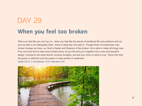#### **When you feel too broken**

When you feel like you can't go on - when you feel like the pieces of shattered life and problems will not ever be able to be adequately fixed – there is deep fear that sets in. Though times of brokenness may forever change our lives, our God is Healer and Restorer of the broken. He is able to make all things new. Pray and trust God to take every broken piece of your life and put it together into a new and beautiful design. Choose to set aside fearful, anxious thoughts, and set your mind on what is true. Thank Him that His grace is sufficient and His power is made perfect in weakness.

[Isaiah 49:13](http://www.biblestudytools.com/isaiah/49-13.html), [2 Corinthians 12:9](http://www.biblestudytools.com/2-corinthians/12-9.html), [Hebrews 4:16](http://www.biblestudytools.com/hebrews/4-16.html)

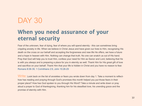### **When you need assurance of your eternal security**

Fear of the unknown, fear of dying, fear of where you will spend eternity – this can sometimes bring crippling anxiety in life. When we believe in Christ Jesus and have given our lives to Him, recognizing His death on the cross on our behalf and accepting the forgiveness and new life He offers, we have a future and a hope in heaven with Him. Nothing can change that truth. No one can snatch us out of His hand. Pray that God will help you to trust Him, confess your need for Him as Savior and Lord, believing that He is with you always and is preparing a place for you in eternity as well. Thank Him for His great gift of love and sacrifice on your behalf. Thank Him that your life is hidden in Christ and you have no reason to fear. [Romans 8:38-39,](http://www.biblestudytools.com/romans/passage/?q=romans+8:38-39) [1 Corinthians 2:9,](http://www.biblestudytools.com/1-corinthians/2-9.html) [John 10:28-29](http://www.biblestudytools.com/john/passage/?q=john+10:28-29)

Write: Look back on the list of anxieties or fears you wrote down from day 1. Take a moment to reflecthow has reading and praying through God's promises this month helped you put those fears in their proper place? How has God spoken to you through His Word? Take a minute and write down or pray aloud a prayer to God of thanksgiving, thanking him for his steadfast love, his unending grace and the promise of eternity with Him.